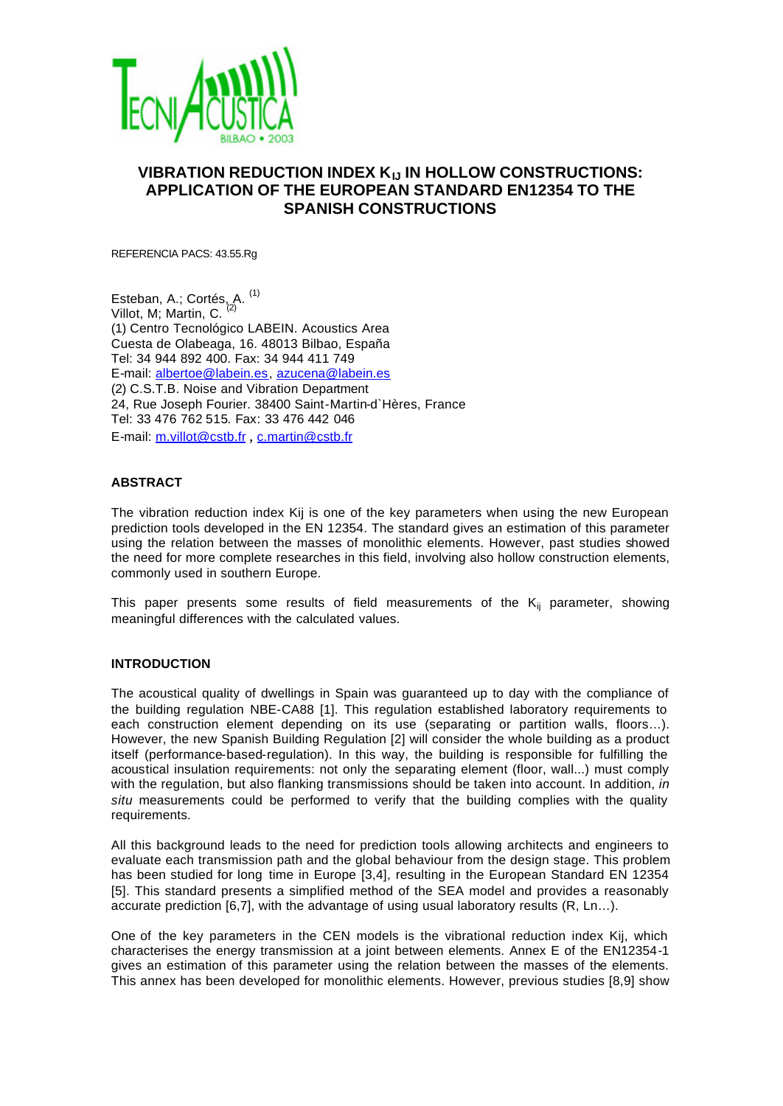

# **VIBRATION REDUCTION INDEX KIJ IN HOLLOW CONSTRUCTIONS: APPLICATION OF THE EUROPEAN STANDARD EN12354 TO THE SPANISH CONSTRUCTIONS**

REFERENCIA PACS: 43.55.Rg

Esteban, A.; Cortés, A. <sup>(1)</sup> Villot, M; Martin, C. (2) (1) Centro Tecnológico LABEIN. Acoustics Area Cuesta de Olabeaga, 16. 48013 Bilbao, España Tel: 34 944 892 400. Fax: 34 944 411 749 E-mail: albertoe@labein.es, azucena@labein.es (2) C.S.T.B. Noise and Vibration Department 24, Rue Joseph Fourier. 38400 Saint-Martin-d`Hères, France Tel: 33 476 762 515. Fax: 33 476 442 046 E-mail: m.villot@cstb.fr , c.martin@cstb.fr

# **ABSTRACT**

The vibration reduction index Kij is one of the key parameters when using the new European prediction tools developed in the EN 12354. The standard gives an estimation of this parameter using the relation between the masses of monolithic elements. However, past studies showed the need for more complete researches in this field, involving also hollow construction elements, commonly used in southern Europe.

This paper presents some results of field measurements of the  $K_{ij}$  parameter, showing meaningful differences with the calculated values.

## **INTRODUCTION**

The acoustical quality of dwellings in Spain was guaranteed up to day with the compliance of the building regulation NBE-CA88 [1]. This regulation established laboratory requirements to each construction element depending on its use (separating or partition walls, floors…). However, the new Spanish Building Regulation [2] will consider the whole building as a product itself (performance-based-regulation). In this way, the building is responsible for fulfilling the acoustical insulation requirements: not only the separating element (floor, wall...) must comply with the regulation, but also flanking transmissions should be taken into account. In addition, *in situ* measurements could be performed to verify that the building complies with the quality requirements.

All this background leads to the need for prediction tools allowing architects and engineers to evaluate each transmission path and the global behaviour from the design stage. This problem has been studied for long time in Europe [3,4], resulting in the European Standard EN 12354 [5]. This standard presents a simplified method of the SEA model and provides a reasonably accurate prediction [6,7], with the advantage of using usual laboratory results (R, Ln…).

One of the key parameters in the CEN models is the vibrational reduction index Kij, which characterises the energy transmission at a joint between elements. Annex E of the EN12354-1 gives an estimation of this parameter using the relation between the masses of the elements. This annex has been developed for monolithic elements. However, previous studies [8,9] show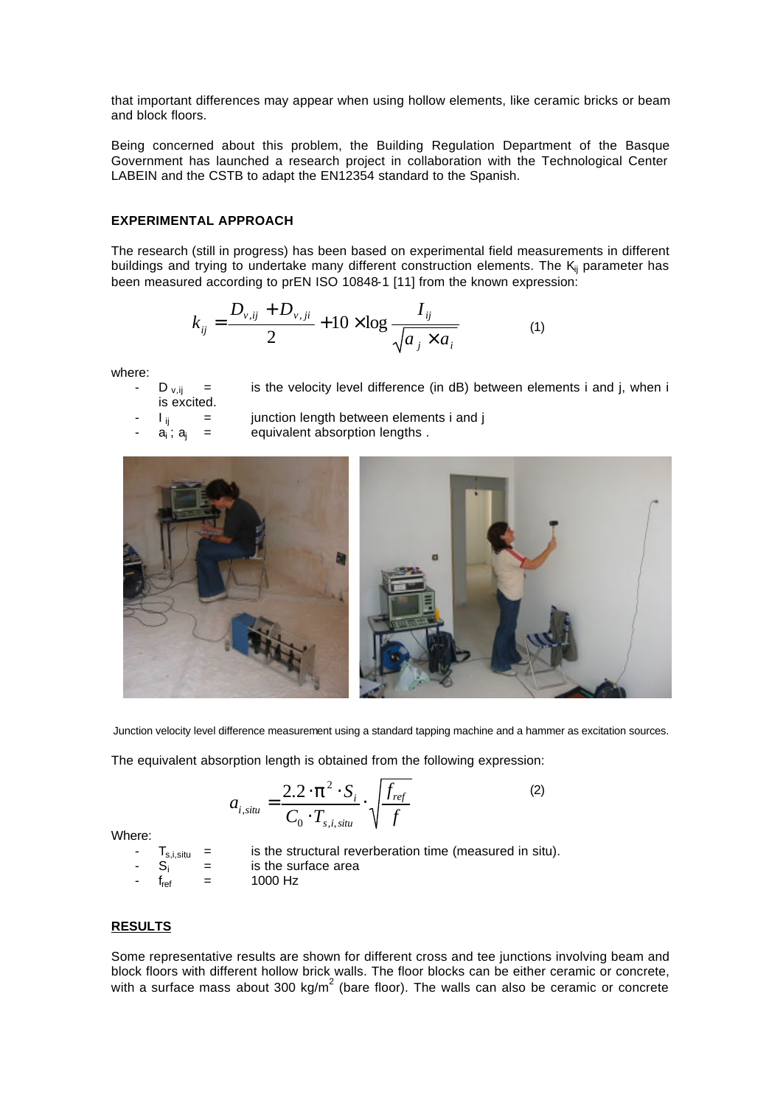that important differences may appear when using hollow elements, like ceramic bricks or beam and block floors.

Being concerned about this problem, the Building Regulation Department of the Basque Government has launched a research project in collaboration with the Technological Center LABEIN and the CSTB to adapt the EN12354 standard to the Spanish.

### **EXPERIMENTAL APPROACH**

The research (still in progress) has been based on experimental field measurements in different buildings and trying to undertake many different construction elements. The  $K_{ii}$  parameter has been measured according to prEN ISO 10848-1 [11] from the known expression:

$$
k_{ij} = \frac{D_{v,ij} + D_{v,ji}}{2} + 10 \times \log \frac{I_{ij}}{\sqrt{a_j \times a_i}}
$$
 (1)

where:

 $D_{vii}$  = is the velocity level difference (in dB) between elements i and j, when i

is excited.

- $I_{ii}$  = junction length between elements i and j
- $a_i$ ;  $a_i$  = equivalent absorption lengths .



Junction velocity level difference measurement using a standard tapping machine and a hammer as excitation sources.

The equivalent absorption length is obtained from the following expression:

$$
a_{i,situ} = \frac{2.2 \cdot \mathbf{p}^2 \cdot S_i}{C_0 \cdot T_{s,i,situ}} \cdot \sqrt{\frac{f_{ref}}{f}}
$$
 (2)

Where:

 $T_{s,i,stitu}$  = is the structural reverberation time (measured in situ).  $S_i$  = is the surface area

 $f_{ref}$  = 1000 Hz

# **RESULTS**

Some representative results are shown for different cross and tee junctions involving beam and block floors with different hollow brick walls. The floor blocks can be either ceramic or concrete, with a surface mass about 300 kg/m<sup>2</sup> (bare floor). The walls can also be ceramic or concrete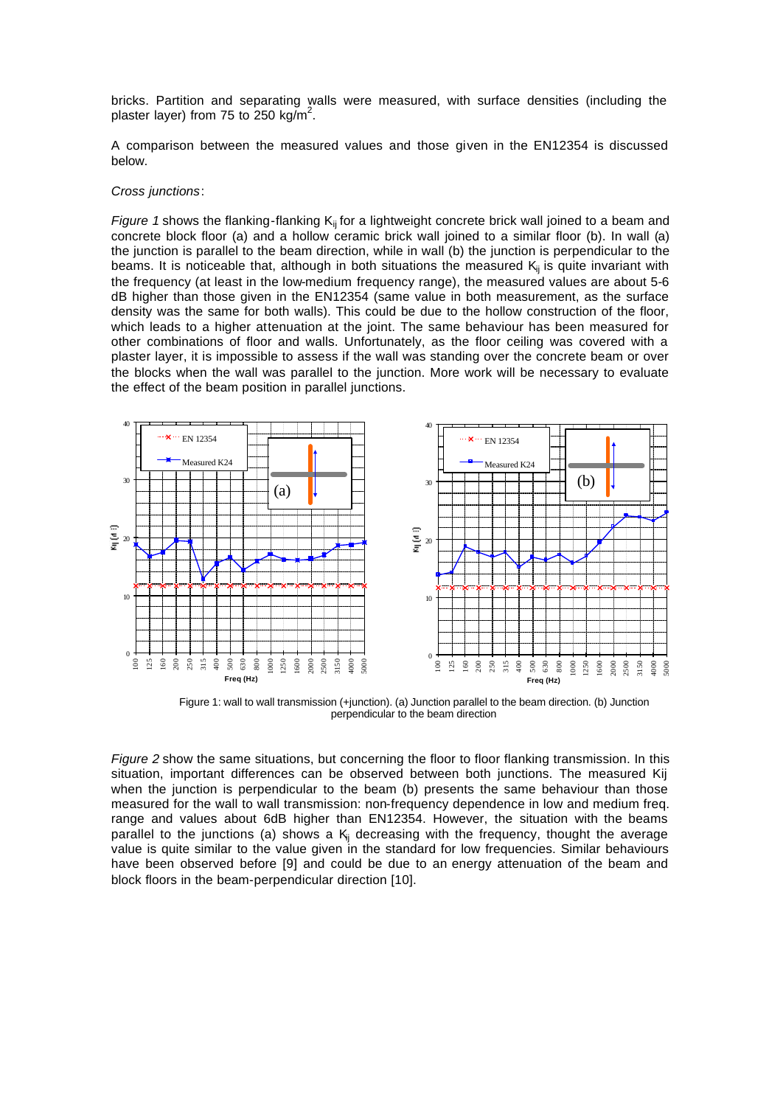bricks. Partition and separating walls were measured, with surface densities (including the plaster layer) from 75 to 250 kg/m<sup>2</sup>.

A comparison between the measured values and those given in the EN12354 is discussed below.

#### *Cross junctions*:

*Figure 1* shows the flanking-flanking K<sub>ij</sub> for a lightweight concrete brick wall joined to a beam and concrete block floor (a) and a hollow ceramic brick wall joined to a similar floor (b). In wall (a) the junction is parallel to the beam direction, while in wall (b) the junction is perpendicular to the beams. It is noticeable that, although in both situations the measured  $K_{ii}$  is quite invariant with the frequency (at least in the low-medium frequency range), the measured values are about 5-6 dB higher than those given in the EN12354 (same value in both measurement, as the surface density was the same for both walls). This could be due to the hollow construction of the floor, which leads to a higher attenuation at the joint. The same behaviour has been measured for other combinations of floor and walls. Unfortunately, as the floor ceiling was covered with a plaster layer, it is impossible to assess if the wall was standing over the concrete beam or over the blocks when the wall was parallel to the junction. More work will be necessary to evaluate the effect of the beam position in parallel junctions.



Figure 1: wall to wall transmission (+junction). (a) Junction parallel to the beam direction. (b) Junction perpendicular to the beam direction

*Figure 2* show the same situations, but concerning the floor to floor flanking transmission. In this situation, important differences can be observed between both junctions. The measured Kij when the junction is perpendicular to the beam (b) presents the same behaviour than those measured for the wall to wall transmission: non-frequency dependence in low and medium freq. range and values about 6dB higher than EN12354. However, the situation with the beams parallel to the junctions (a) shows a  $K_{ij}$  decreasing with the frequency, thought the average value is quite similar to the value given in the standard for low frequencies. Similar behaviours have been observed before [9] and could be due to an energy attenuation of the beam and block floors in the beam-perpendicular direction [10].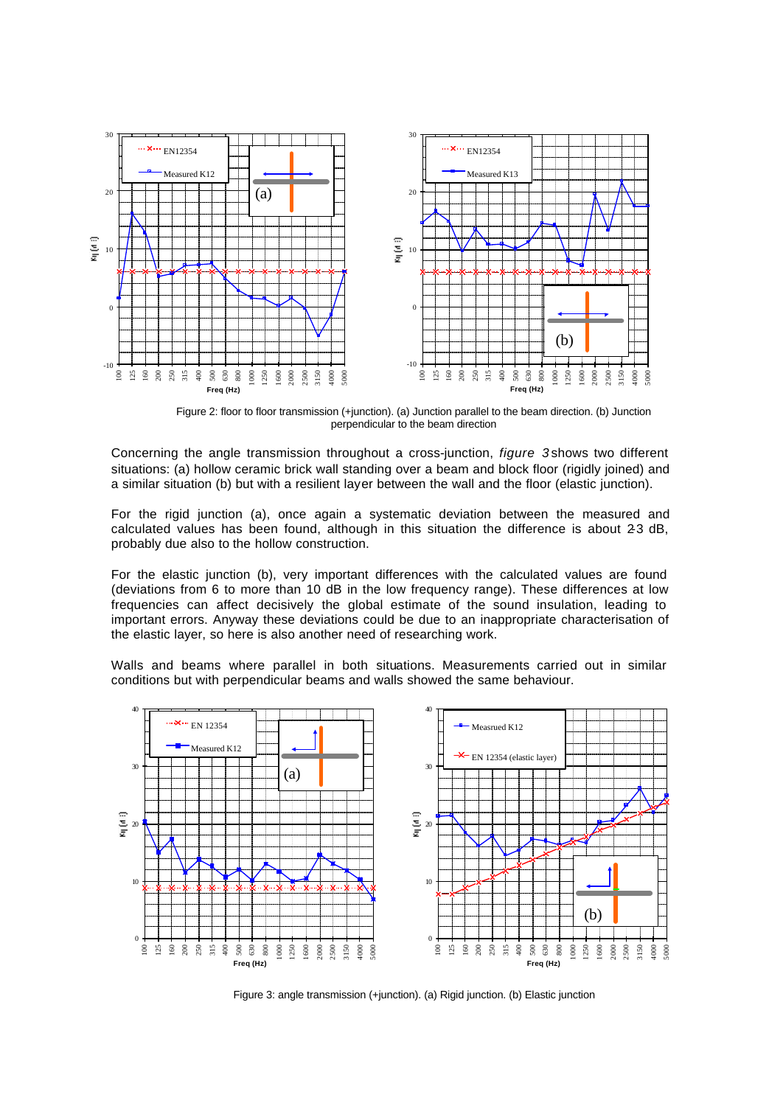

Figure 2: floor to floor transmission (+junction). (a) Junction parallel to the beam direction. (b) Junction perpendicular to the beam direction

Concerning the angle transmission throughout a cross-junction, *figure 3* shows two different situations: (a) hollow ceramic brick wall standing over a beam and block floor (rigidly joined) and a similar situation (b) but with a resilient layer between the wall and the floor (elastic junction).

For the rigid junction (a), once again a systematic deviation between the measured and calculated values has been found, although in this situation the difference is about 23 dB, probably due also to the hollow construction.

For the elastic junction (b), very important differences with the calculated values are found (deviations from 6 to more than 10 dB in the low frequency range). These differences at low frequencies can affect decisively the global estimate of the sound insulation, leading to important errors. Anyway these deviations could be due to an inappropriate characterisation of the elastic layer, so here is also another need of researching work.

Walls and beams where parallel in both situations. Measurements carried out in similar conditions but with perpendicular beams and walls showed the same behaviour.



Figure 3: angle transmission (+junction). (a) Rigid junction. (b) Elastic junction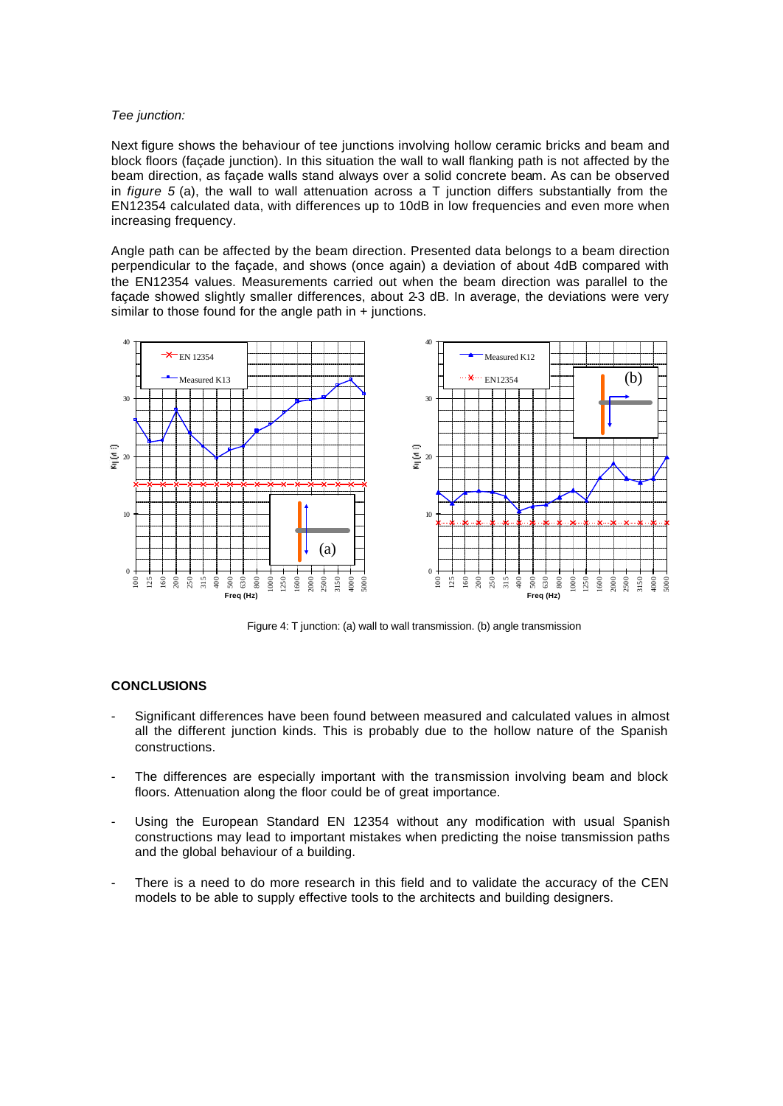### *Tee junction:*

Next figure shows the behaviour of tee junctions involving hollow ceramic bricks and beam and block floors (façade junction). In this situation the wall to wall flanking path is not affected by the beam direction, as façade walls stand always over a solid concrete beam. As can be observed in *figure 5* (a), the wall to wall attenuation across a T junction differs substantially from the EN12354 calculated data, with differences up to 10dB in low frequencies and even more when increasing frequency.

Angle path can be affected by the beam direction. Presented data belongs to a beam direction perpendicular to the façade, and shows (once again) a deviation of about 4dB compared with the EN12354 values. Measurements carried out when the beam direction was parallel to the façade showed slightly smaller differences, about 2-3 dB. In average, the deviations were very similar to those found for the angle path in + junctions.



Figure 4: T junction: (a) wall to wall transmission. (b) angle transmission

# **CONCLUSIONS**

- Significant differences have been found between measured and calculated values in almost all the different junction kinds. This is probably due to the hollow nature of the Spanish constructions.
- The differences are especially important with the transmission involving beam and block floors. Attenuation along the floor could be of great importance.
- Using the European Standard EN 12354 without any modification with usual Spanish constructions may lead to important mistakes when predicting the noise transmission paths and the global behaviour of a building.
- There is a need to do more research in this field and to validate the accuracy of the CEN models to be able to supply effective tools to the architects and building designers.